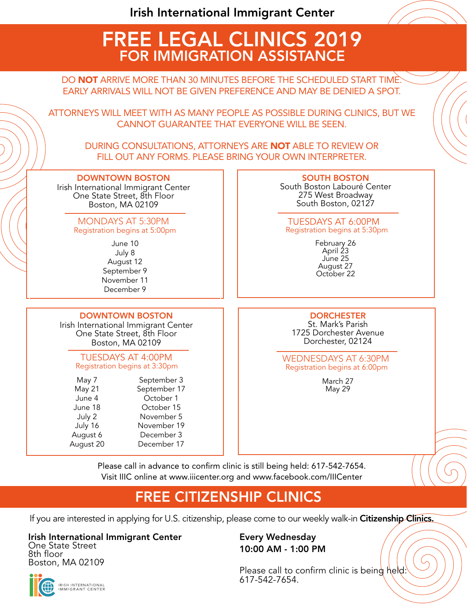# FREE LEGAL CLINICS 2019 FOR IMMIGRATION ASSISTANCE

DO **NOT** ARRIVE MORE THAN 30 MINUTES BEFORE THE SCHEDULED START TIME. EARLY ARRIVALS WILL NOT BE GIVEN PREFERENCE AND MAY BE DENIED A SPOT.

ATTORNEYS WILL MEET WITH AS MANY PEOPLE AS POSSIBLE DURING CLINICS, BUT WE CANNOT GUARANTEE THAT EVERYONE WILL BE SEEN.

DURING CONSULTATIONS, ATTORNEYS ARE NOT ABLE TO REVIEW OR FILL OUT ANY FORMS. PLEASE BRING YOUR OWN INTERPRETER.

## DOWNTOWN BOSTON

Irish International Immigrant Center One State Street, 8th Floor Boston, MA 02109

#### Registration begins at 5:00pm MONDAYS AT 5:30PM

June 10 July 8 August 12 September 9 November 11 December 9

## DOWNTOWN BOSTON

Irish International Immigrant Center One State Street, 8th Floor Boston, MA 02109

### TUESDAYS AT 4:00PM Registration begins at 3:30pm

| May 7     | September 3  |
|-----------|--------------|
| May 21    | September 17 |
| June 4    | October 1    |
| June 18   | October 15   |
| July 2    | November 5   |
| July 16   | November 19  |
| August 6  | December 3   |
| August 20 | December 17  |
|           |              |

#### SOUTH BOSTON South Boston Labouré Center 275 West Broadway South Boston, 02127

## TUESDAYS AT 6:00PM Registration begins at 5:30pm

February 26 April 23 June 25 August 27 October 22

## **DORCHESTER**

St. Mark's Parish 1725 Dorchester Avenue Dorchester, 02124

WEDNESDAYS AT 6:30PM Registration begins at 6:00pm

> March 27 May 29

Please call in advance to confirm clinic is still being held: 617-542-7654. Visit IIIC online at www.iiicenter.org and www.facebook.com/IIICenter

## FREE CITIZENSHIP CLINICS

If you are interested in applying for U.S. citizenship, please come to our weekly walk-in Citizenship Clinics.

#### Irish International Immigrant Center One State Street

8th floor Boston, MA 02109 Every Wednesday 10:00 AM - 1:00 PM

Please call to confirm clinic is being held: 617-542-7654.

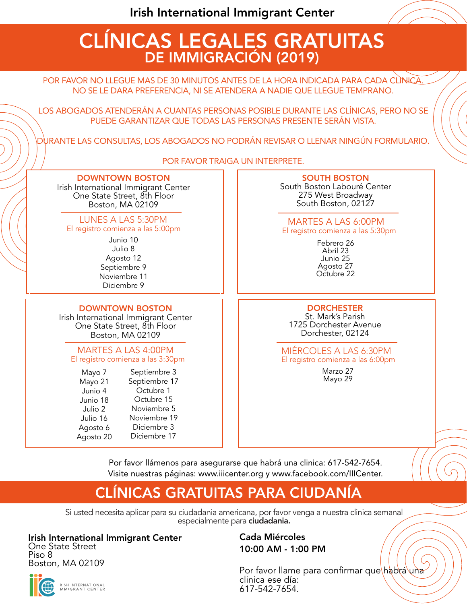# CLÍNICAS LEGALES GRATUITAS DE IMMIGRACIÓN (2019)

POR FAVOR NO LLEGUE MAS DE 30 MINUTOS ANTES DE LA HORA INDICADA PARA CADA CLINICA. NO SE LE DARA PREFERENCIA, NI SE ATENDERA A NADIE QUE LLEGUE TEMPRANO.

LOS ABOGADOS ATENDERÁN A CUANTAS PERSONAS POSIBLE DURANTE LAS CLÍNICAS, PERO NO SE PUEDE GARANTIZAR QUE TODAS LAS PERSONAS PRESENTE SERÁN VISTA.

DURANTE LAS CONSULTAS, LOS ABOGADOS NO PODRÁN REVISAR O LLENAR NINGÚN FORMULARIO.

POR FAVOR TRAIGA UN INTERPRETE.

## DOWNTOWN BOSTON

Irish International Immigrant Center One State Street, 8th Floor Boston, MA 02109

### LUNES A LAS 5:30PM El registro comienza a las 5:00pm

Junio 10 Julio 8 Agosto 12 Septiembre 9 Noviembre 11 Diciembre 9

### DOWNTOWN BOSTON Irish International Immigrant Center One State Street, 8th Floor Boston, MA 02109

## MARTES A LAS 4:00PM El registro comienza a las 3:30pm

| Mayo 7    | Septiembre 3  |
|-----------|---------------|
| Mayo 21   | Septiembre 17 |
| Junio 4   | Octubre 1     |
| Junio 18  | Octubre 15    |
| Julio 2   | Noviembre 5   |
| Julio 16  | Noviembre 19  |
| Agosto 6  | Diciembre 3   |
| Agosto 20 | Diciembre 17  |
|           |               |

## SOUTH BOSTON

South Boston Labouré Center 275 West Broadway South Boston, 02127

## MARTES A LAS 6:00PM El registro comienza a las 5:30pm

Febrero 26 Abril 23 Junio 25 Agosto 27 Octubre 22

**DORCHESTER** St. Mark's Parish 1725 Dorchester Avenue Dorchester, 02124

## MIÉRCOLES A LAS 6:30PM El registro comienza a las 6:00pm

Marzo 27 Mayo 29

Por favor llámenos para asegurarse que habrá una clinica: 617-542-7654. Visite nuestras páginas: www.iiicenter.org y www.facebook.com/IIICenter.

## CLÍNICAS GRATUITAS PARA CIUDANÍA

Si usted necesita aplicar para su ciudadania americana, por favor venga a nuestra clinica semanal especialmente para ciudadania.

## Irish International Immigrant Center

One State Street Piso 8 Boston, MA 02109

**IRISH INTERNATIONAL**<br>IMMIGRANT CENTER

## Cada Miércoles 10:00 AM - 1:00 PM

Por favor llame para confirmar que habrá una clinica ese día: 617-542-7654.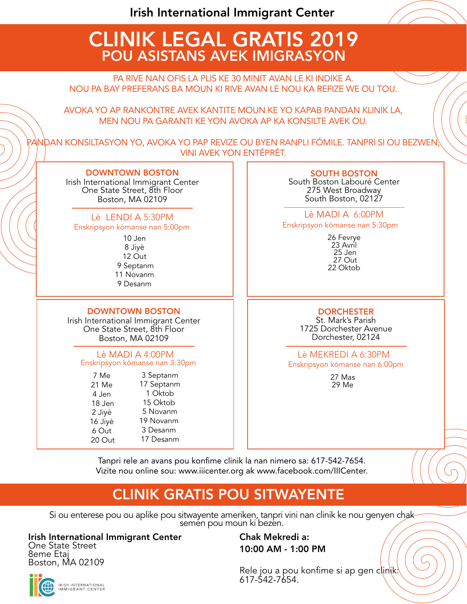Irish International Immigrant Center

## CLINIK LEGAL GRATIS 2019 POU ASISTANS AVEK IMIGRASYON

PA RIVE NAN OFIS LA PLIS KE 30 MINIT AVAN LE KI INDIKE A. NOU PA BAY PREFERANS BA MOUN KI RIVE AVAN LE NOU KA REFIZE WE OU TOU.

AVOKA YO AP RANKONTRE AVEK KANTITE MOUN KE YO KAPAB PANDAN KLINIK LA, MEN NOU PA GARANTI KE YON AVOKA AP KA KONSILTE AVEK OU.

PANDAN KONSILTASYON YO, AVOKA YO PAP REVIZE OU BYEN RANPLI FÓMILE. TANPRI SI OU BEZWEN, VINI AVEK YON ENTÉPRÉT.

### DOWNTOWN BOSTON

Irish International Immigrant Center One State Street, 8th Floor Boston, MA 02109

## Lè LENDI A 5:30PM

Enskripsyon kòmanse nan 5:00pm

10 Jen 8 Jiyè 12 Out 9 Septanm 11 Novanm 9 Desanm

## DOWNTOWN BOSTON

Irish International Immigrant Center One State Street, 8th Floor Boston, MA 02109

#### Lè MADI A 4:00PM Enskripsyon kòmanse nan 3:30pm

7 Me 21 Me 4 Jen 18 Jen 2 Jiyè 16 Jiyè 6 Out 20 Out 3 Septanm 17 Septanm 1 Oktob 15 Oktob 5 Novanm 19 Novanm 3 Desanm 17 Desanm

### SOUTH BOSTON

South Boston Labouré Center 275 West Broadway South Boston, 02127

Lè MADI A 6:00PM Enskripsyon kòmanse nan 5:30pm

> 26 Fevrye 23 Avril 25 Jen 27 Out 22 Oktob

## **DORCHESTER**

St. Mark's Parish 1725 Dorchester Avenue Dorchester, 02124

Lè MEKREDI A 6:30PM Enskripsyon kòmanse nan 6:00pm

> 27 Mas 29 Me

Tanpri rele an avans pou konfime clinik la nan nimero sa: 617-542-7654. Vizite nou online sou: www.iiicenter.org ak www.facebook.com/IIICenter.

## CLINIK GRATIS POU SITWAYENTE

Si ou enterese pou ou aplike pou sitwayente ameriken, tanpri vini nan clinik ke nou genyen chak semen pou moun ki bezen.

Irish International Immigrant Center One State Street

8eme Etaj Boston, MA 02109 Chak Mekredi a: 10:00 AM - 1:00 PM

Rele jou a pou konfime si ap gen clinik: 617-542-7654.



IRISH INTERNATIONAL<br>IMMIGRANT CENTER